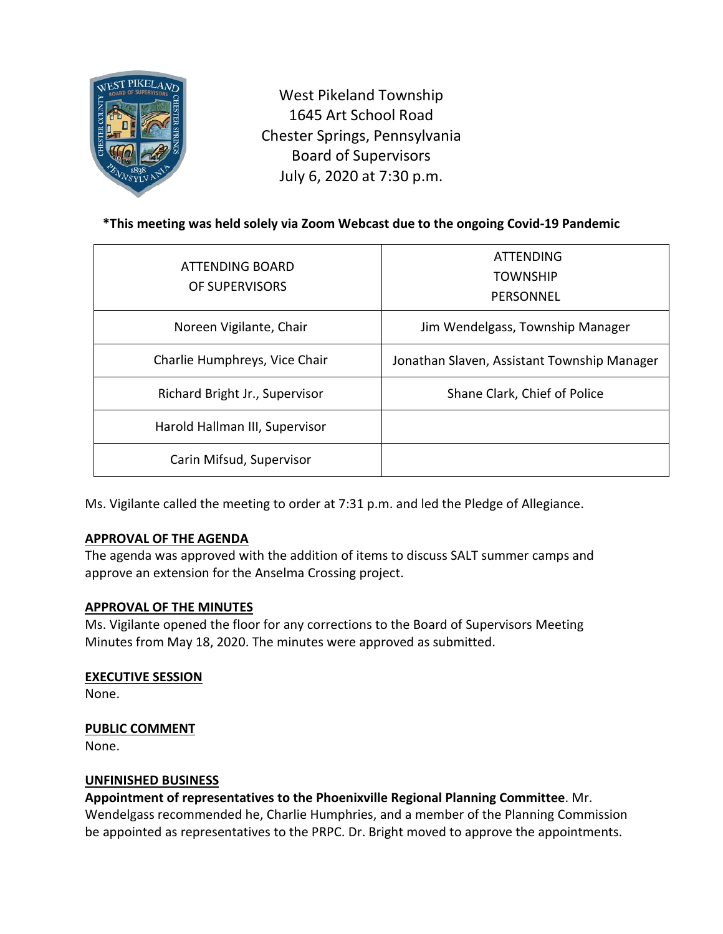

West Pikeland Township 1645 Art School Road Chester Springs, Pennsylvania Board of Supervisors July 6, 2020 at 7:30 p.m.

# **\*This meeting was held solely via Zoom Webcast due to the ongoing Covid-19 Pandemic**

| ATTENDING BOARD<br>OF SUPERVISORS | <b>ATTENDING</b><br><b>TOWNSHIP</b><br>PERSONNEL |
|-----------------------------------|--------------------------------------------------|
| Noreen Vigilante, Chair           | Jim Wendelgass, Township Manager                 |
| Charlie Humphreys, Vice Chair     | Jonathan Slaven, Assistant Township Manager      |
| Richard Bright Jr., Supervisor    | Shane Clark, Chief of Police                     |
| Harold Hallman III, Supervisor    |                                                  |
| Carin Mifsud, Supervisor          |                                                  |

Ms. Vigilante called the meeting to order at 7:31 p.m. and led the Pledge of Allegiance.

### **APPROVAL OF THE AGENDA**

The agenda was approved with the addition of items to discuss SALT summer camps and approve an extension for the Anselma Crossing project.

### **APPROVAL OF THE MINUTES**

Ms. Vigilante opened the floor for any corrections to the Board of Supervisors Meeting Minutes from May 18, 2020. The minutes were approved as submitted.

### **EXECUTIVE SESSION**

None.

### **PUBLIC COMMENT**

None.

### **UNFINISHED BUSINESS**

**Appointment of representatives to the Phoenixville Regional Planning Committee**. Mr. Wendelgass recommended he, Charlie Humphries, and a member of the Planning Commission be appointed as representatives to the PRPC. Dr. Bright moved to approve the appointments.